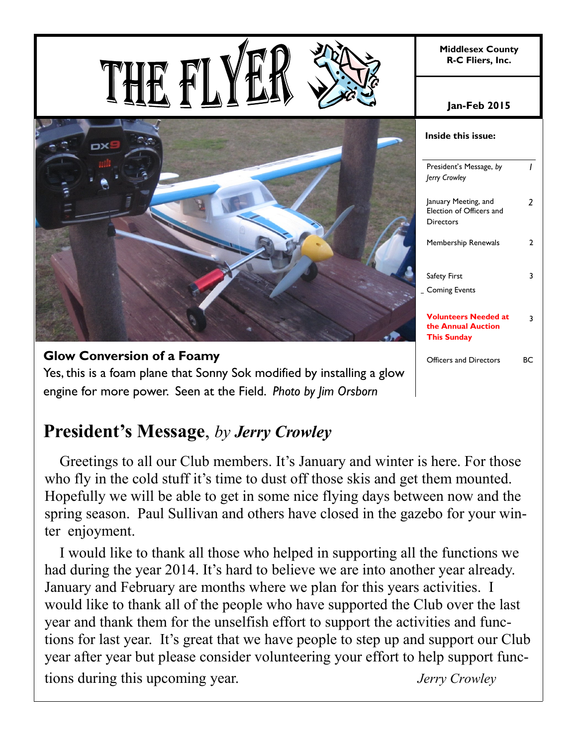|                                                                        | <b>Middlesex County</b><br>R-C Fliers, Inc.                             |                |
|------------------------------------------------------------------------|-------------------------------------------------------------------------|----------------|
|                                                                        | <b>Jan-Feb 2015</b>                                                     |                |
| DX                                                                     | Inside this issue:                                                      |                |
|                                                                        | President's Message, by<br>Jerry Crowley                                | $\mathcal{L}$  |
|                                                                        | January Meeting, and<br>Election of Officers and<br><b>Directors</b>    | $\overline{2}$ |
|                                                                        | Membership Renewals                                                     | $\overline{2}$ |
|                                                                        | Safety First                                                            | $\mathbf{3}$   |
|                                                                        | _ Coming Events                                                         |                |
|                                                                        | <b>Volunteers Needed at</b><br>the Annual Auction<br><b>This Sunday</b> | $\mathbf{3}$   |
| <b>Glow Conversion of a Foamy</b>                                      | Officers and Directors                                                  | ВC             |
| Yes, this is a foam plane that Sonny Sok modified by installing a glow |                                                                         |                |

**President's Message**, *by Jerry Crowley* 

engine for more power. Seen at the Field. *Photo by Jim Orsborn*

 Greetings to all our Club members. It's January and winter is here. For those who fly in the cold stuff it's time to dust off those skis and get them mounted. Hopefully we will be able to get in some nice flying days between now and the spring season. Paul Sullivan and others have closed in the gazebo for your winter enjoyment.

 I would like to thank all those who helped in supporting all the functions we had during the year 2014. It's hard to believe we are into another year already. January and February are months where we plan for this years activities. I would like to thank all of the people who have supported the Club over the last year and thank them for the unselfish effort to support the activities and functions for last year. It's great that we have people to step up and support our Club year after year but please consider volunteering your effort to help support functions during this upcoming year. *Jerry Crowley*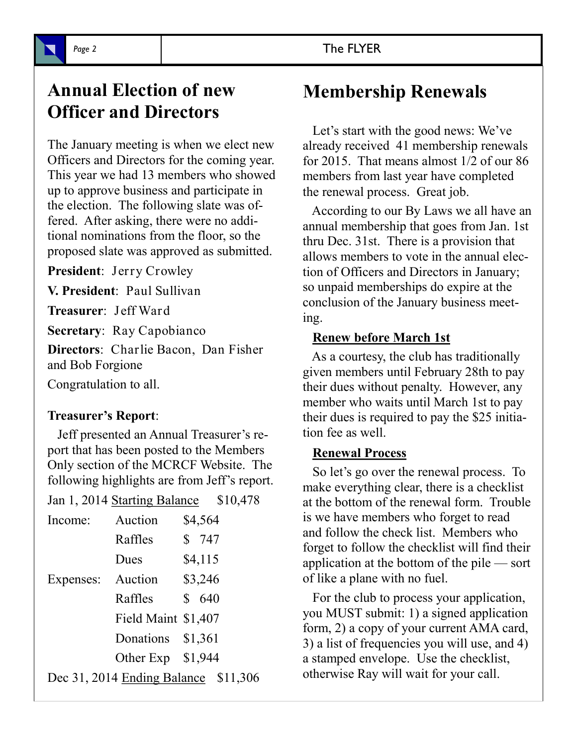## **Annual Election of new Officer and Directors**

The January meeting is when we elect new Officers and Directors for the coming year. This year we had 13 members who showed up to approve business and participate in the election. The following slate was offered. After asking, there were no additional nominations from the floor, so the proposed slate was approved as submitted.

**President**: Jerry Crowley

**V. President**: Paul Sullivan

**Treasurer**: Jeff Ward

**Secretary**: Ray Capobianco

**Directors**: Charlie Bacon, Dan Fisher and Bob Forgione

Congratulation to all.

#### **Treasurer's Report**:

 Jeff presented an Annual Treasurer's report that has been posted to the Members Only section of the MCRCF Website. The following highlights are from Jeff's report.

| Jan 1, 2014 Starting Balance \$10,478 |                                      |  |         |  |
|---------------------------------------|--------------------------------------|--|---------|--|
| Income:                               | Auction                              |  | \$4,564 |  |
|                                       | Raffles                              |  | \$747   |  |
|                                       | Dues                                 |  | \$4,115 |  |
| Expenses:                             | Auction                              |  | \$3,246 |  |
|                                       | Raffles                              |  | \$640   |  |
|                                       | Field Maint \$1,407                  |  |         |  |
|                                       | Donations \$1,361                    |  |         |  |
|                                       | Other Exp $$1,944$                   |  |         |  |
|                                       | Dec 31, 2014 Ending Balance \$11,306 |  |         |  |

# **Membership Renewals**

 Let's start with the good news: We've already received 41 membership renewals for 2015. That means almost 1/2 of our 86 members from last year have completed the renewal process. Great job.

 According to our By Laws we all have an annual membership that goes from Jan. 1st thru Dec. 31st. There is a provision that allows members to vote in the annual election of Officers and Directors in January; so unpaid memberships do expire at the conclusion of the January business meeting.

#### **Renew before March 1st**

 As a courtesy, the club has traditionally given members until February 28th to pay their dues without penalty. However, any member who waits until March 1st to pay their dues is required to pay the \$25 initiation fee as well.

#### **Renewal Process**

 So let's go over the renewal process. To make everything clear, there is a checklist at the bottom of the renewal form. Trouble is we have members who forget to read and follow the check list. Members who forget to follow the checklist will find their application at the bottom of the pile — sort of like a plane with no fuel.

 For the club to process your application, you MUST submit: 1) a signed application form, 2) a copy of your current AMA card, 3) a list of frequencies you will use, and 4) a stamped envelope. Use the checklist, otherwise Ray will wait for your call.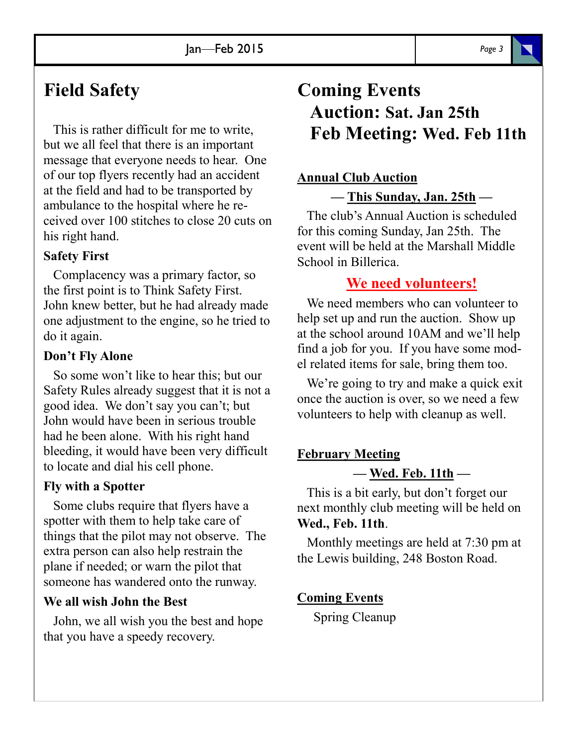### **Field Safety**

 This is rather difficult for me to write, but we all feel that there is an important message that everyone needs to hear. One of our top flyers recently had an accident at the field and had to be transported by ambulance to the hospital where he received over 100 stitches to close 20 cuts on his right hand.

#### **Safety First**

 Complacency was a primary factor, so the first point is to Think Safety First. John knew better, but he had already made one adjustment to the engine, so he tried to do it again.

#### **Don't Fly Alone**

 So some won't like to hear this; but our Safety Rules already suggest that it is not a good idea. We don't say you can't; but John would have been in serious trouble had he been alone. With his right hand bleeding, it would have been very difficult to locate and dial his cell phone.

#### **Fly with a Spotter**

 Some clubs require that flyers have a spotter with them to help take care of things that the pilot may not observe. The extra person can also help restrain the plane if needed; or warn the pilot that someone has wandered onto the runway.

#### **We all wish John the Best**

 John, we all wish you the best and hope that you have a speedy recovery.

## **Coming Events Auction: Sat. Jan 25th Feb Meeting: Wed. Feb 11th**

#### **Annual Club Auction**

**— This Sunday, Jan. 25th —** 

 The club's Annual Auction is scheduled for this coming Sunday, Jan 25th. The event will be held at the Marshall Middle School in Billerica.

### **We need volunteers!**

We need members who can volunteer to help set up and run the auction. Show up at the school around 10AM and we'll help find a job for you. If you have some model related items for sale, bring them too.

 We're going to try and make a quick exit once the auction is over, so we need a few volunteers to help with cleanup as well.

### **February Meeting — Wed. Feb. 11th —**

 This is a bit early, but don't forget our next monthly club meeting will be held on **Wed., Feb. 11th**.

 Monthly meetings are held at 7:30 pm at the Lewis building, 248 Boston Road.

#### **Coming Events**

Spring Cleanup